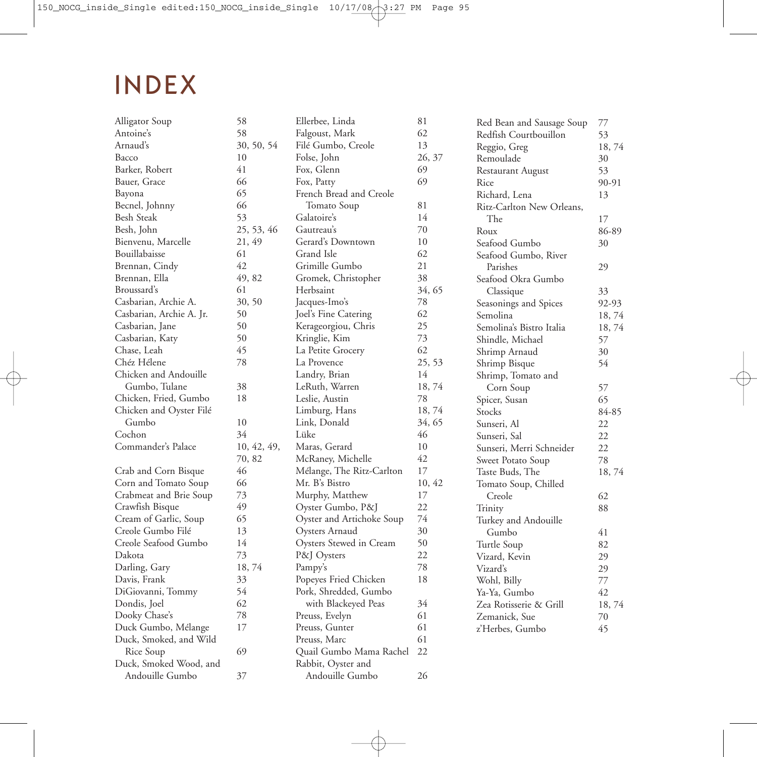## **INDEX**

| Alligator Soup           | 58          | Ellerbee, Linda           | 81     | Red Bean and Sausage Soup | 77    |
|--------------------------|-------------|---------------------------|--------|---------------------------|-------|
| Antoine's                | 58          | Falgoust, Mark            | 62     | Redfish Courtbouillon     | 53    |
| Arnaud's                 | 30, 50, 54  | Filé Gumbo, Creole        | 13     | Reggio, Greg              | 18,74 |
| Bacco                    | 10          | Folse, John               | 26, 37 | Remoulade                 | 30    |
| Barker, Robert           | 41          | Fox, Glenn                | 69     | Restaurant August         | 53    |
| Bauer, Grace             | 66          | Fox, Patty                | 69     | Rice                      | 90-91 |
| Bayona                   | 65          | French Bread and Creole   |        | Richard, Lena             | 13    |
| Becnel, Johnny           | 66          | Tomato Soup               | 81     | Ritz-Carlton New Orleans, |       |
| <b>Besh Steak</b>        | 53          | Galatoire's               | 14     | The                       | 17    |
| Besh, John               | 25, 53, 46  | Gautreau's                | 70     | Roux                      | 86-89 |
| Bienvenu, Marcelle       | 21, 49      | Gerard's Downtown         | 10     | Seafood Gumbo             | 30    |
| Bouillabaisse            | 61          | Grand Isle                | 62     | Seafood Gumbo, River      |       |
| Brennan, Cindy           | 42          | Grimille Gumbo            | 21     | Parishes                  | 29    |
| Brennan, Ella            | 49, 82      | Gromek, Christopher       | 38     | Seafood Okra Gumbo        |       |
| Broussard's              | 61          | Herbsaint                 | 34, 65 | Classique                 | 33    |
| Casbarian, Archie A.     | 30, 50      | Jacques-Imo's             | 78     | Seasonings and Spices     | 92-93 |
| Casbarian, Archie A. Jr. | 50          | Joel's Fine Catering      | 62     | Semolina                  | 18,74 |
| Casbarian, Jane          | 50          | Kerageorgiou, Chris       | 25     | Semolina's Bistro Italia  | 18,74 |
| Casbarian, Katy          | 50          | Kringlie, Kim             | 73     | Shindle, Michael          | 57    |
| Chase, Leah              | 45          | La Petite Grocery         | 62     | Shrimp Arnaud             | 30    |
| Chéz Hélene              | 78          | La Provence               | 25, 53 | Shrimp Bisque             | 54    |
| Chicken and Andouille    |             | Landry, Brian             | 14     | Shrimp, Tomato and        |       |
| Gumbo, Tulane            | 38          | LeRuth, Warren            | 18,74  | Corn Soup                 | 57    |
| Chicken, Fried, Gumbo    | 18          | Leslie, Austin            | 78     | Spicer, Susan             | 65    |
| Chicken and Oyster Filé  |             | Limburg, Hans             | 18,74  | Stocks                    | 84-85 |
| Gumbo                    | 10          | Link, Donald              | 34, 65 | Sunseri, Al               | 22    |
| Cochon                   | 34          | Lüke                      | 46     | Sunseri, Sal              | 22    |
| Commander's Palace       | 10, 42, 49, | Maras, Gerard             | 10     | Sunseri, Merri Schneider  | 22    |
|                          | 70, 82      | McRaney, Michelle         | 42     | Sweet Potato Soup         | 78    |
| Crab and Corn Bisque     | 46          | Mélange, The Ritz-Carlton | 17     | Taste Buds, The           | 18,74 |
| Corn and Tomato Soup     | 66          | Mr. B's Bistro            | 10, 42 | Tomato Soup, Chilled      |       |
| Crabmeat and Brie Soup   | 73          | Murphy, Matthew           | 17     | Creole                    | 62    |
| Crawfish Bisque          | 49          | Oyster Gumbo, P&J         | 22     | Trinity                   | 88    |
| Cream of Garlic, Soup    | 65          | Oyster and Artichoke Soup | 74     | Turkey and Andouille      |       |
| Creole Gumbo Filé        | 13          | Oysters Arnaud            | 30     | Gumbo                     | 41    |
| Creole Seafood Gumbo     | 14          | Oysters Stewed in Cream   | 50     | Turtle Soup               | 82    |
| Dakota                   | 73          | P&J Oysters               | 22     | Vizard, Kevin             | 29    |
| Darling, Gary            | 18, 74      | Pampy's                   | 78     | Vizard's                  | 29    |
| Davis, Frank             | 33          | Popeyes Fried Chicken     | 18     | Wohl, Billy               | 77    |
| DiGiovanni, Tommy        | 54          | Pork, Shredded, Gumbo     |        | Ya-Ya, Gumbo              | 42    |
| Dondis, Joel             | 62          | with Blackeyed Peas       | 34     | Zea Rotisserie & Grill    | 18,74 |
| Dooky Chase's            | 78          | Preuss, Evelyn            | 61     | Zemanick, Sue             | 70    |
| Duck Gumbo, Mélange      | 17          | Preuss, Gunter            | 61     | z'Herbes, Gumbo           | 45    |
| Duck, Smoked, and Wild   |             | Preuss, Marc              | 61     |                           |       |
| Rice Soup                | 69          | Quail Gumbo Mama Rachel   | 22     |                           |       |
| Duck, Smoked Wood, and   |             | Rabbit, Oyster and        |        |                           |       |
| Andouille Gumbo          | 37          | Andouille Gumbo           | 26     |                           |       |